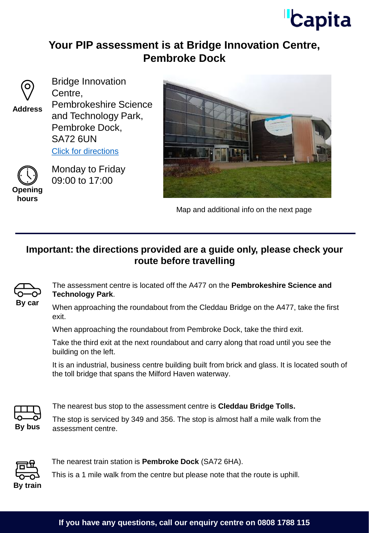# **Capita**

# **Your PIP assessment is at Bridge Innovation Centre, Pembroke Dock**



Bridge Innovation Centre, Pembrokeshire Science and Technology Park, Pembroke Dock, SA72 6UN [Click for directions](https://goo.gl/maps/k2mQmF7wpHV8WUQH9) **Address**



Monday to Friday 09:00 to 17:00



Map and additional info on the next page

### **Important: the directions provided are a guide only, please check your route before travelling**



The assessment centre is located off the A477 on the **Pembrokeshire Science and Technology Park**.

When approaching the roundabout from the Cleddau Bridge on the A477, take the first exit.

When approaching the roundabout from Pembroke Dock, take the third exit.

Take the third exit at the next roundabout and carry along that road until you see the building on the left.

It is an industrial, business centre building built from brick and glass. It is located south of the toll bridge that spans the Milford Haven waterway.



The nearest bus stop to the assessment centre is **Cleddau Bridge Tolls.** 

The stop is serviced by 349 and 356. The stop is almost half a mile walk from the **By bus** assessment centre.



The nearest train station is **Pembroke Dock** (SA72 6HA).

This is a 1 mile walk from the centre but please note that the route is uphill.